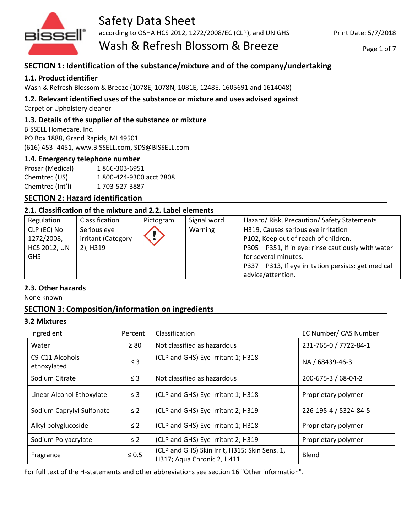

# Safety Data Sheet

according to OSHA HCS 2012, 1272/2008/EC (CLP), and UN GHS

Wash & Refresh Blossom & Breeze

Page 1 of 7

# **SECTION 1: Identification of the substance/mixture and of the company/undertaking**

## **1.1. Product identifier**

Wash & Refresh Blossom & Breeze (1078E, 1078N, 1081E, 1248E, 1605691 and 1614048)

**1.2. Relevant identified uses of the substance or mixture and uses advised against**

Carpet or Upholstery cleaner

## **1.3. Details of the supplier of the substance or mixture**

BISSELL Homecare, Inc. PO Box 1888, Grand Rapids, MI 49501 (616) 453- 4451, www.BISSELL.com, SDS@BISSELL.com

## **1.4. Emergency telephone number**

Prosar (Medical) 1 866-303-6951 Chemtrec (US) 1 800-424-9300 acct 2808 Chemtrec (Int'l) 1 703-527-3887

## **SECTION 2: Hazard identification**

## **2.1. Classification of the mixture and 2.2. Label elements**

| Regulation          | Classification     | Pictogram | Signal word | Hazard/Risk, Precaution/Safety Statements            |
|---------------------|--------------------|-----------|-------------|------------------------------------------------------|
| CLP (EC) No         | Serious eye        |           | Warning     | H319, Causes serious eye irritation                  |
| 1272/2008,          | irritant (Category |           |             | P102, Keep out of reach of children.                 |
| <b>HCS 2012, UN</b> | 2), H319           |           |             | P305 + P351, If in eye: rinse cautiously with water  |
| <b>GHS</b>          |                    |           |             | for several minutes.                                 |
|                     |                    |           |             | P337 + P313, If eye irritation persists: get medical |
|                     |                    |           |             | advice/attention.                                    |

## **2.3. Other hazards**

None known

## **SECTION 3: Composition/information on ingredients**

## **3.2 Mixtures**

| Ingredient                                              | Percent    | Classification                                                              | EC Number/ CAS Number |
|---------------------------------------------------------|------------|-----------------------------------------------------------------------------|-----------------------|
| Water                                                   | $\geq 80$  | Not classified as hazardous                                                 | 231-765-0 / 7722-84-1 |
| C <sub>9</sub> -C <sub>11</sub> Alcohols<br>ethoxylated | $\leq$ 3   | (CLP and GHS) Eye Irritant 1; H318                                          | NA / 68439-46-3       |
| Sodium Citrate                                          | $\leq$ 3   | Not classified as hazardous                                                 | 200-675-3 / 68-04-2   |
| Linear Alcohol Ethoxylate                               | $\leq$ 3   | (CLP and GHS) Eye Irritant 1; H318                                          | Proprietary polymer   |
| Sodium Caprylyl Sulfonate                               | $\leq 2$   | (CLP and GHS) Eye Irritant 2; H319                                          | 226-195-4 / 5324-84-5 |
| Alkyl polyglucoside                                     | $\leq 2$   | (CLP and GHS) Eye Irritant 1; H318                                          | Proprietary polymer   |
| Sodium Polyacrylate                                     | $\leq 2$   | (CLP and GHS) Eye Irritant 2; H319                                          | Proprietary polymer   |
| Fragrance                                               | $\leq 0.5$ | (CLP and GHS) Skin Irrit, H315; Skin Sens. 1,<br>H317; Aqua Chronic 2, H411 | Blend                 |

For full text of the H-statements and other abbreviations see section 16 "Other information".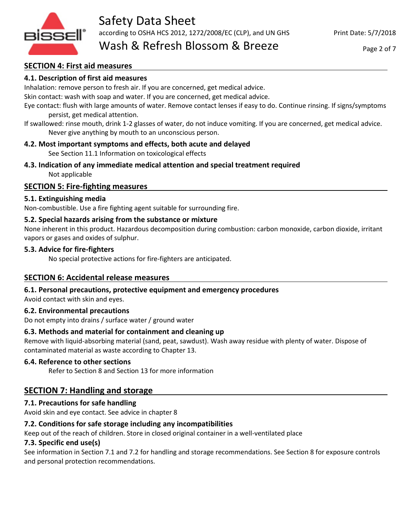

## **SECTION 4: First aid measures**

## **4.1. Description of first aid measures**

Inhalation: remove person to fresh air. If you are concerned, get medical advice.

Skin contact: wash with soap and water. If you are concerned, get medical advice.

Eye contact: flush with large amounts of water. Remove contact lenses if easy to do. Continue rinsing. If signs/symptoms persist, get medical attention.

If swallowed: rinse mouth, drink 1-2 glasses of water, do not induce vomiting. If you are concerned, get medical advice. Never give anything by mouth to an unconscious person.

## **4.2. Most important symptoms and effects, both acute and delayed**

See Section 11.1 Information on toxicological effects

**4.3. Indication of any immediate medical attention and special treatment required** Not applicable

## **SECTION 5: Fire-fighting measures**

## **5.1. Extinguishing media**

Non-combustible. Use a fire fighting agent suitable for surrounding fire.

## **5.2. Special hazards arising from the substance or mixture**

None inherent in this product. Hazardous decomposition during combustion: carbon monoxide, carbon dioxide, irritant vapors or gases and oxides of sulphur.

## **5.3. Advice for fire-fighters**

No special protective actions for fire-fighters are anticipated.

## **SECTION 6: Accidental release measures**

## **6.1. Personal precautions, protective equipment and emergency procedures**

Avoid contact with skin and eyes.

## **6.2. Environmental precautions**

Do not empty into drains / surface water / ground water

## **6.3. Methods and material for containment and cleaning up**

Remove with liquid-absorbing material (sand, peat, sawdust). Wash away residue with plenty of water. Dispose of contaminated material as waste according to Chapter 13.

## **6.4. Reference to other sections**

Refer to Section 8 and Section 13 for more information

# **SECTION 7: Handling and storage**

## **7.1. Precautions for safe handling**

Avoid skin and eye contact. See advice in chapter 8

## **7.2. Conditions for safe storage including any incompatibilities**

Keep out of the reach of children. Store in closed original container in a well-ventilated place

## **7.3. Specific end use(s)**

See information in Section 7.1 and 7.2 for handling and storage recommendations. See Section 8 for exposure controls and personal protection recommendations.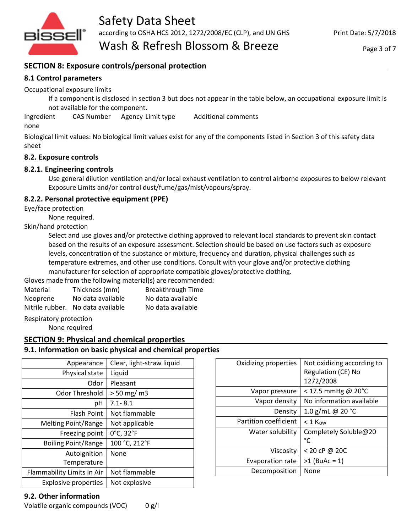

## **SECTION 8: Exposure controls/personal protection**

## **8.1 Control parameters**

Occupational exposure limits

If a component is disclosed in section 3 but does not appear in the table below, an occupational exposure limit is not available for the component.

Ingredient CAS Number Agency Limit type Additional comments

none

Biological limit values: No biological limit values exist for any of the components listed in Section 3 of this safety data sheet

## **8.2. Exposure controls**

## **8.2.1. Engineering controls**

Use general dilution ventilation and/or local exhaust ventilation to control airborne exposures to below relevant Exposure Limits and/or control dust/fume/gas/mist/vapours/spray.

## **8.2.2. Personal protective equipment (PPE)**

Eye/face protection

None required.

Skin/hand protection

Select and use gloves and/or protective clothing approved to relevant local standards to prevent skin contact based on the results of an exposure assessment. Selection should be based on use factors such as exposure levels, concentration of the substance or mixture, frequency and duration, physical challenges such as temperature extremes, and other use conditions. Consult with your glove and/or protective clothing manufacturer for selection of appropriate compatible gloves/protective clothing.

Gloves made from the following material(s) are recommended:

| Material | Thickness (mm)                    | <b>Breakthrough Time</b> |
|----------|-----------------------------------|--------------------------|
| Neoprene | No data available                 | No data available        |
|          | Nitrile rubber. No data available | No data available        |

Respiratory protection

None required

## **SECTION 9: Physical and chemical properties**

## **9.1. Information on basic physical and chemical properties**

| Appearance                  | Clear, light-straw liquid |
|-----------------------------|---------------------------|
| Physical state              | Liquid                    |
| Odor                        | Pleasant                  |
| <b>Odor Threshold</b>       | $> 50$ mg/m3              |
| рH                          | $7.1 - 8.1$               |
| <b>Flash Point</b>          | Not flammable             |
| <b>Melting Point/Range</b>  | Not applicable            |
| Freezing point              | 0°C, 32°F                 |
| <b>Boiling Point/Range</b>  | 100 °C, 212°F             |
| Autoignition                | None                      |
| Temperature                 |                           |
| Flammability Limits in Air  | Not flammable             |
| <b>Explosive properties</b> | Not explosive             |

|                         | Regulation (CE) No<br>1272/2008 |
|-------------------------|---------------------------------|
| Vapor pressure          | < 17.5 mmHg @ 20°C              |
| Vapor density           | No information available        |
| Density                 | 1.0 g/mL @ 20 $^{\circ}$ C      |
| Partition coefficient   | $< 1$ Kow                       |
| Water solubility        | Completely Soluble@20<br>°C     |
| Viscositv               | < 20 cP @ 20C                   |
| <b>Evaporation rate</b> | $>1$ (BuAc = 1)                 |
| Decomposition           | None                            |
|                         |                                 |

Oxidizing properties | Not oxidizing according to  $\vert$ 

## **9.2. Other information**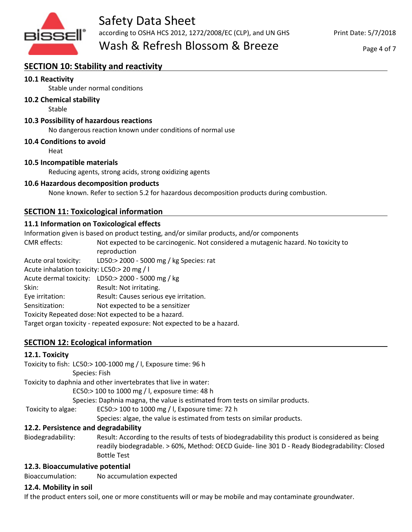

Print Date: 5/7/2018

Page 4 of 7

# **SECTION 10: Stability and reactivity**

## **10.1 Reactivity**

Stable under normal conditions

## **10.2 Chemical stability**

Stable

## **10.3 Possibility of hazardous reactions**

No dangerous reaction known under conditions of normal use

#### **10.4 Conditions to avoid**

Heat

#### **10.5 Incompatible materials**

Reducing agents, strong acids, strong oxidizing agents

#### **10.6 Hazardous decomposition products**

None known. Refer to section 5.2 for hazardous decomposition products during combustion.

## **SECTION 11: Toxicological information**

## **11.1 Information on Toxicological effects**

Information given is based on product testing, and/or similar products, and/or components

CMR effects: Not expected to be carcinogenic. Not considered a mutagenic hazard. No toxicity to reproduction

Acute oral toxicity: LD50:> 2000 - 5000 mg / kg Species: rat

Acute inhalation toxicity: LC50:> 20 mg / l

Acute dermal toxicity: LD50:> 2000 - 5000 mg / kg

Skin: Result: Not irritating.

Eye irritation: Result: Causes serious eye irritation.

Sensitization: Not expected to be a sensitizer

Toxicity Repeated dose: Not expected to be a hazard.

Target organ toxicity - repeated exposure: Not expected to be a hazard.

## **SECTION 12: Ecological information**

## **12.1. Toxicity**

|                                     | Toxicity to fish: LC50:> 100-1000 mg / l, Exposure time: 96 h                                     |  |
|-------------------------------------|---------------------------------------------------------------------------------------------------|--|
|                                     | Species: Fish                                                                                     |  |
|                                     | Toxicity to daphnia and other invertebrates that live in water:                                   |  |
|                                     | EC50:> 100 to 1000 mg / l, exposure time: 48 h                                                    |  |
|                                     | Species: Daphnia magna, the value is estimated from tests on similar products.                    |  |
| Toxicity to algae:                  | EC50:> 100 to 1000 mg / l, Exposure time: 72 h                                                    |  |
|                                     | Species: algae, the value is estimated from tests on similar products.                            |  |
| 12.2. Persistence and degradability |                                                                                                   |  |
| Biodegradability:                   | Result: According to the results of tests of biodegradability this product is considered as being |  |
|                                     | readily biodegradable. > 60%, Method: OECD Guide- line 301 D - Ready Biodegradability: Closed     |  |

Bottle Test

## **12.3. Bioaccumulative potential**

Bioaccumulation: No accumulation expected

## **12.4. Mobility in soil**

If the product enters soil, one or more constituents will or may be mobile and may contaminate groundwater.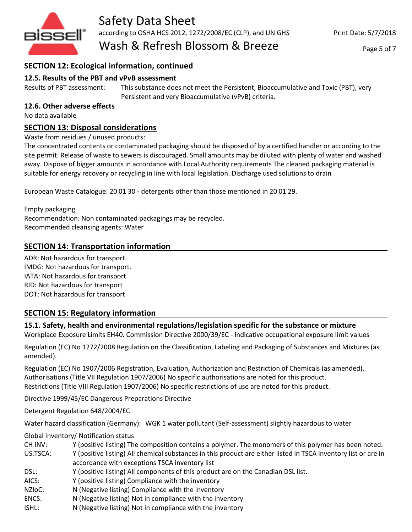

#### Page 5 of 7

# **SECTION 12: Ecological information, continued**

## **12.5. Results of the PBT and vPvB assessment**

Results of PBT assessment: This substance does not meet the Persistent, Bioaccumulative and Toxic (PBT), very Persistent and very Bioaccumulative (vPvB) criteria.

## **12.6. Other adverse effects**

No data available

## **SECTION 13: Disposal considerations**

Waste from residues / unused products:

The concentrated contents or contaminated packaging should be disposed of by a certified handler or according to the site permit. Release of waste to sewers is discouraged. Small amounts may be diluted with plenty of water and washed away. Dispose of bigger amounts in accordance with Local Authority requirements The cleaned packaging material is suitable for energy recovery or recycling in line with local legislation. Discharge used solutions to drain

European Waste Catalogue: 20 01 30 - detergents other than those mentioned in 20 01 29.

Empty packaging Recommendation: Non contaminated packagings may be recycled. Recommended cleansing agents: Water

## **SECTION 14: Transportation information**

ADR: Not hazardous for transport. IMDG: Not hazardous for transport. IATA: Not hazardous for transport RID: Not hazardous for transport DOT: Not hazardous for transport

## **SECTION 15: Regulatory information**

**15.1. Safety, health and environmental regulations/legislation specific for the substance or mixture**

Workplace Exposure Limits EH40. Commission Directive 2000/39/EC - indicative occupational exposure limit values

Regulation (EC) No 1272/2008 Regulation on the Classification, Labeling and Packaging of Substances and Mixtures (as amended).

Regulation (EC) No 1907/2006 Registration, Evaluation, Authorization and Restriction of Chemicals (as amended). Authorisations (Title VII Regulation 1907/2006) No specific authorisations are noted for this product. Restrictions (Title VIII Regulation 1907/2006) No specific restrictions of use are noted for this product.

Directive 1999/45/EC Dangerous Preparations Directive

Detergent Regulation 648/2004/EC

Water hazard classification (Germany): WGK 1 water pollutant (Self-assessment) slightly hazardous to water

Global inventory/ Notification status

CH INV: Y (positive listing) The composition contains a polymer. The monomers of this polymer has been noted.

US.TSCA: Y (positive listing) All chemical substances in this product are either listed in TSCA inventory list or are in accordance with exceptions TSCA inventory list

- DSL: Y (positive listing) All components of this product are on the Canadian DSL list.
- AICS: Y (positive listing) Compliance with the inventory
- NZIoC: N (Negative listing) Compliance with the inventory
- ENCS: N (Negative listing) Not in compliance with the inventory
- ISHL: N (Negative listing) Not in compliance with the inventory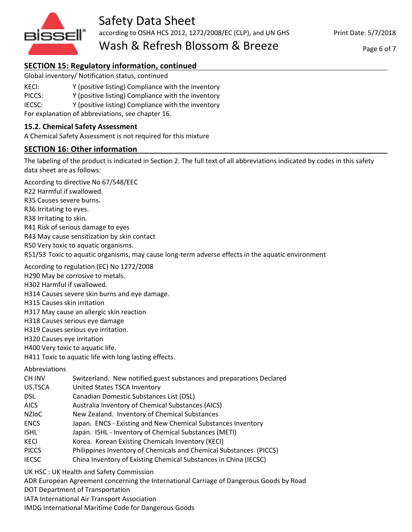

Print Date: 5/7/2018

Page 6 of 7

# **SECTION 15: Regulatory information, continued**

Global inventory/ Notification status, continued

- KECI: Y (positive listing) Compliance with the inventory
- PICCS: Y (positive listing) Compliance with the inventory
- IECSC: Y (positive listing) Compliance with the inventory

For explanation of abbreviations, see chapter 16.

#### **15.2. Chemical Safety Assessment**

A Chemical Safety Assessment is not required for this mixture

## **SECTION 16: Other information**

The labeling of the product is indicated in Section 2. The full text of all abbreviations indicated by codes in this safety data sheet are as follows:

According to directive No 67/548/EEC

R22 Harmful if swallowed.

R35 Causes severe burns.

R36 Irritating to eyes.

R38 Irritating to skin.

R41 Risk of serious damage to eyes

R43 May cause sensitization by skin contact

R50 Very toxic to aquatic organisms.

R51/53 Toxic to aquatic organisms, may cause long-term adverse effects in the aquatic environment

According to regulation (EC) No 1272/2008

H290 May be corrosive to metals.

H302 Harmful if swallowed.

H314 Causes severe skin burns and eye damage.

H315 Causes skin irritation

H317 May cause an allergic skin reaction

H318 Causes serious eye damage

H319 Causes serious eye irritation.

H320 Causes eye irritation

H400 Very toxic to aquatic life.

H411 Toxic to aquatic life with long lasting effects.

Abbreviations

| CH INV       | Switzerland. New notified guest substances and preparations Declared |
|--------------|----------------------------------------------------------------------|
| US.TSCA      | United States TSCA Inventory                                         |
| DSL.         | Canadian Domestic Substances List (DSL)                              |
| AICS         | Australia Inventory of Chemical Substances (AICS)                    |
| <b>NZIOC</b> | New Zealand. Inventory of Chemical Substances                        |
| <b>ENCS</b>  | Japan. ENCS - Existing and New Chemical Substances Inventory         |
| <b>ISHL</b>  | Japan. ISHL - Inventory of Chemical Substances (METI)                |
| KECI         | Korea. Korean Existing Chemicals Inventory (KECI)                    |
| <b>PICCS</b> | Philippines Inventory of Chemicals and Chemical Substances (PICCS)   |
| <b>IECSC</b> | China Inventory of Existing Chemical Substances in China (IECSC)     |
|              |                                                                      |

UK HSC : UK Health and Safety Commission

ADR European Agreement concerning the International Carriage of Dangerous Goods by Road

DOT Department of Transportation

IATA International Air Transport Association

IMDG International Maritime Code for Dangerous Goods